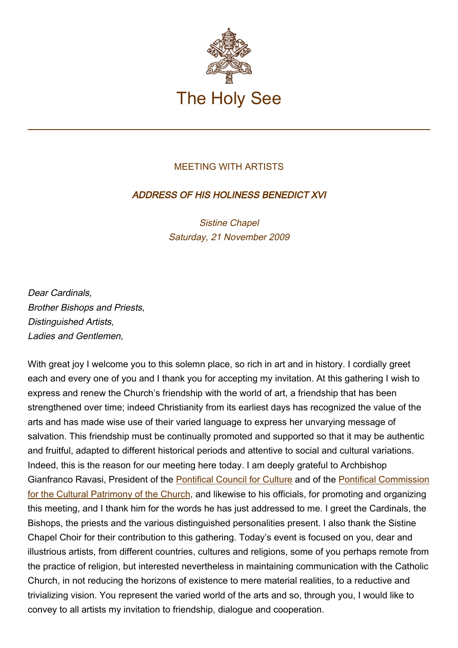

## MEETING WITH ARTISTS

## ADDRESS OF HIS HOLINESS BENEDICT XVI

Sistine Chapel Saturday, 21 November 2009

Dear Cardinals, Brother Bishops and Priests, Distinguished Artists, Ladies and Gentlemen,

With great joy I welcome you to this solemn place, so rich in art and in history. I cordially greet each and every one of you and I thank you for accepting my invitation. At this gathering I wish to express and renew the Church's friendship with the world of art, a friendship that has been strengthened over time; indeed Christianity from its earliest days has recognized the value of the arts and has made wise use of their varied language to express her unvarying message of salvation. This friendship must be continually promoted and supported so that it may be authentic and fruitful, adapted to different historical periods and attentive to social and cultural variations. Indeed, this is the reason for our meeting here today. I am deeply grateful to Archbishop Gianfranco Ravasi, President of the [Pontifical Council for Culture](http://www.vatican.va/roman_curia/pontifical_councils/cultr/index.htm) and of the [Pontifical Commission](http://www.vatican.va/roman_curia/pontifical_commissions/pcchc/index.htm) [for the Cultural Patrimony of the Church](http://www.vatican.va/roman_curia/pontifical_commissions/pcchc/index.htm), and likewise to his officials, for promoting and organizing this meeting, and I thank him for the words he has just addressed to me. I greet the Cardinals, the Bishops, the priests and the various distinguished personalities present. I also thank the Sistine Chapel Choir for their contribution to this gathering. Today's event is focused on you, dear and illustrious artists, from different countries, cultures and religions, some of you perhaps remote from the practice of religion, but interested nevertheless in maintaining communication with the Catholic Church, in not reducing the horizons of existence to mere material realities, to a reductive and trivializing vision. You represent the varied world of the arts and so, through you, I would like to convey to all artists my invitation to friendship, dialogue and cooperation.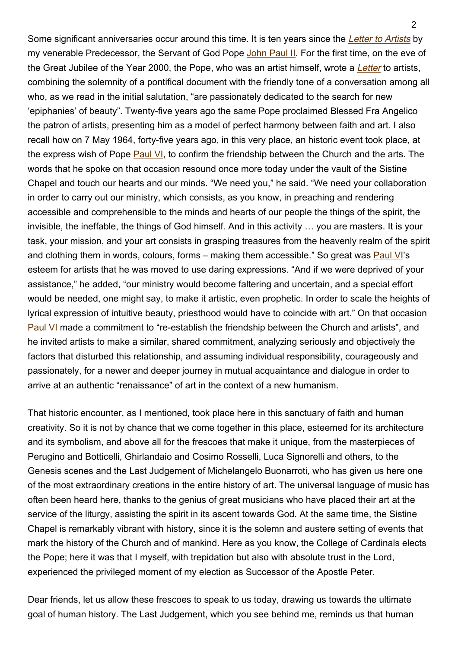Some significant anniversaries occur around this time. It is ten years since the [Letter to Artists](http://w2.vatican.va/content/john-paul-ii/en/letters/documents/hf_jp-ii_let_23041999_artists.html) by my venerable Predecessor, the Servant of God Pope [John Paul II.](http://www.vatican.va/holy_father/john_paul_ii/index.htm) For the first time, on the eve of the Great Jubilee of the Year 2000, the Pope, who was an artist himself, wrote a [Letter](http://w2.vatican.va/content/john-paul-ii/en/letters/documents/hf_jp-ii_let_23041999_artists.html) to artists, combining the solemnity of a pontifical document with the friendly tone of a conversation among all who, as we read in the initial salutation, "are passionately dedicated to the search for new 'epiphanies' of beauty". Twenty-five years ago the same Pope proclaimed Blessed Fra Angelico the patron of artists, presenting him as a model of perfect harmony between faith and art. I also recall how on 7 May 1964, forty-five years ago, in this very place, an historic event took place, at the express wish of Pope [Paul VI,](http://www.vatican.va/holy_father/paul_vi/index.htm) to confirm the friendship between the Church and the arts. The words that he spoke on that occasion resound once more today under the vault of the Sistine Chapel and touch our hearts and our minds. "We need you," he said. "We need your collaboration in order to carry out our ministry, which consists, as you know, in preaching and rendering accessible and comprehensible to the minds and hearts of our people the things of the spirit, the invisible, the ineffable, the things of God himself. And in this activity … you are masters. It is your task, your mission, and your art consists in grasping treasures from the heavenly realm of the spirit and clothing them in words, colours, forms – making them accessible." So great was [Paul VI'](http://www.vatican.va/holy_father/paul_vi/index.htm)s esteem for artists that he was moved to use daring expressions. "And if we were deprived of your assistance," he added, "our ministry would become faltering and uncertain, and a special effort would be needed, one might say, to make it artistic, even prophetic. In order to scale the heights of lyrical expression of intuitive beauty, priesthood would have to coincide with art." On that occasion [Paul VI](http://www.vatican.va/holy_father/paul_vi/index.htm) made a commitment to "re-establish the friendship between the Church and artists", and he invited artists to make a similar, shared commitment, analyzing seriously and objectively the factors that disturbed this relationship, and assuming individual responsibility, courageously and passionately, for a newer and deeper journey in mutual acquaintance and dialogue in order to arrive at an authentic "renaissance" of art in the context of a new humanism.

That historic encounter, as I mentioned, took place here in this sanctuary of faith and human creativity. So it is not by chance that we come together in this place, esteemed for its architecture and its symbolism, and above all for the frescoes that make it unique, from the masterpieces of Perugino and Botticelli, Ghirlandaio and Cosimo Rosselli, Luca Signorelli and others, to the Genesis scenes and the Last Judgement of Michelangelo Buonarroti, who has given us here one of the most extraordinary creations in the entire history of art. The universal language of music has often been heard here, thanks to the genius of great musicians who have placed their art at the service of the liturgy, assisting the spirit in its ascent towards God. At the same time, the Sistine Chapel is remarkably vibrant with history, since it is the solemn and austere setting of events that mark the history of the Church and of mankind. Here as you know, the College of Cardinals elects the Pope; here it was that I myself, with trepidation but also with absolute trust in the Lord, experienced the privileged moment of my election as Successor of the Apostle Peter.

Dear friends, let us allow these frescoes to speak to us today, drawing us towards the ultimate goal of human history. The Last Judgement, which you see behind me, reminds us that human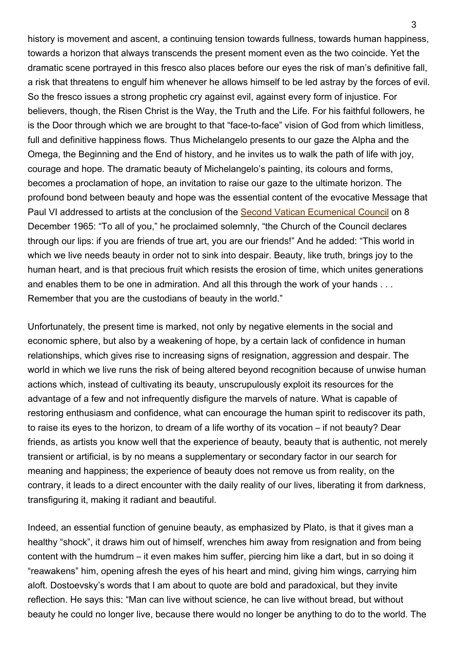history is movement and ascent, a continuing tension towards fullness, towards human happiness, towards a horizon that always transcends the present moment even as the two coincide. Yet the dramatic scene portrayed in this fresco also places before our eyes the risk of man's definitive fall, a risk that threatens to engulf him whenever he allows himself to be led astray by the forces of evil. So the fresco issues a strong prophetic cry against evil, against every form of injustice. For believers, though, the Risen Christ is the Way, the Truth and the Life. For his faithful followers, he is the Door through which we are brought to that "face-to-face" vision of God from which limitless, full and definitive happiness flows. Thus Michelangelo presents to our gaze the Alpha and the Omega, the Beginning and the End of history, and he invites us to walk the path of life with joy, courage and hope. The dramatic beauty of Michelangelo's painting, its colours and forms, becomes a proclamation of hope, an invitation to raise our gaze to the ultimate horizon. The profound bond between beauty and hope was the essential content of the evocative Message that Paul VI addressed to artists at the conclusion of the [Second Vatican Ecumenical Council](http://www.vatican.va/archive/hist_councils/ii_vatican_council/index.htm) on 8 December 1965: "To all of you," he proclaimed solemnly, "the Church of the Council declares through our lips: if you are friends of true art, you are our friends!" And he added: "This world in which we live needs beauty in order not to sink into despair. Beauty, like truth, brings joy to the human heart, and is that precious fruit which resists the erosion of time, which unites generations and enables them to be one in admiration. And all this through the work of your hands . . . Remember that you are the custodians of beauty in the world."

Unfortunately, the present time is marked, not only by negative elements in the social and economic sphere, but also by a weakening of hope, by a certain lack of confidence in human relationships, which gives rise to increasing signs of resignation, aggression and despair. The world in which we live runs the risk of being altered beyond recognition because of unwise human actions which, instead of cultivating its beauty, unscrupulously exploit its resources for the advantage of a few and not infrequently disfigure the marvels of nature. What is capable of restoring enthusiasm and confidence, what can encourage the human spirit to rediscover its path, to raise its eyes to the horizon, to dream of a life worthy of its vocation – if not beauty? Dear friends, as artists you know well that the experience of beauty, beauty that is authentic, not merely transient or artificial, is by no means a supplementary or secondary factor in our search for meaning and happiness; the experience of beauty does not remove us from reality, on the contrary, it leads to a direct encounter with the daily reality of our lives, liberating it from darkness, transfiguring it, making it radiant and beautiful.

Indeed, an essential function of genuine beauty, as emphasized by Plato, is that it gives man a healthy "shock", it draws him out of himself, wrenches him away from resignation and from being content with the humdrum – it even makes him suffer, piercing him like a dart, but in so doing it "reawakens" him, opening afresh the eyes of his heart and mind, giving him wings, carrying him aloft. Dostoevsky's words that I am about to quote are bold and paradoxical, but they invite reflection. He says this: "Man can live without science, he can live without bread, but without beauty he could no longer live, because there would no longer be anything to do to the world. The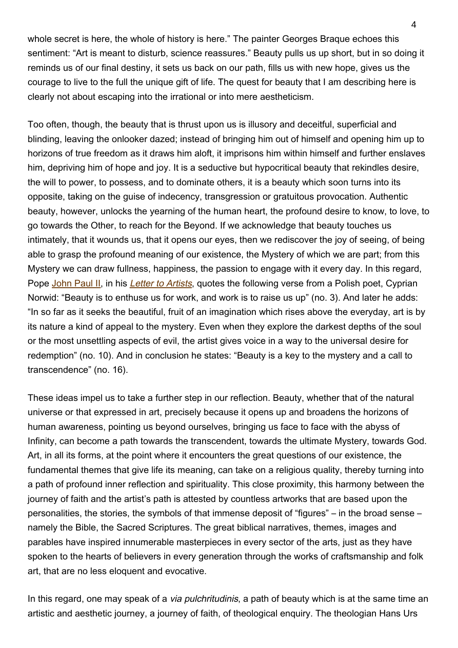whole secret is here, the whole of history is here." The painter Georges Braque echoes this sentiment: "Art is meant to disturb, science reassures." Beauty pulls us up short, but in so doing it reminds us of our final destiny, it sets us back on our path, fills us with new hope, gives us the courage to live to the full the unique gift of life. The quest for beauty that I am describing here is clearly not about escaping into the irrational or into mere aestheticism.

Too often, though, the beauty that is thrust upon us is illusory and deceitful, superficial and blinding, leaving the onlooker dazed; instead of bringing him out of himself and opening him up to horizons of true freedom as it draws him aloft, it imprisons him within himself and further enslaves him, depriving him of hope and joy. It is a seductive but hypocritical beauty that rekindles desire, the will to power, to possess, and to dominate others, it is a beauty which soon turns into its opposite, taking on the guise of indecency, transgression or gratuitous provocation. Authentic beauty, however, unlocks the yearning of the human heart, the profound desire to know, to love, to go towards the Other, to reach for the Beyond. If we acknowledge that beauty touches us intimately, that it wounds us, that it opens our eyes, then we rediscover the joy of seeing, of being able to grasp the profound meaning of our existence, the Mystery of which we are part; from this Mystery we can draw fullness, happiness, the passion to engage with it every day. In this regard, Pope [John Paul II,](http://www.vatican.va/holy_father/john_paul_ii/index.htm) in his *[Letter to Artists](http://w2.vatican.va/content/john-paul-ii/en/letters/documents/hf_jp-ii_let_23041999_artists.html)*, quotes the following verse from a Polish poet, Cyprian Norwid: "Beauty is to enthuse us for work, and work is to raise us up" (no. 3). And later he adds: "In so far as it seeks the beautiful, fruit of an imagination which rises above the everyday, art is by its nature a kind of appeal to the mystery. Even when they explore the darkest depths of the soul or the most unsettling aspects of evil, the artist gives voice in a way to the universal desire for redemption" (no. 10). And in conclusion he states: "Beauty is a key to the mystery and a call to transcendence" (no. 16).

These ideas impel us to take a further step in our reflection. Beauty, whether that of the natural universe or that expressed in art, precisely because it opens up and broadens the horizons of human awareness, pointing us beyond ourselves, bringing us face to face with the abyss of Infinity, can become a path towards the transcendent, towards the ultimate Mystery, towards God. Art, in all its forms, at the point where it encounters the great questions of our existence, the fundamental themes that give life its meaning, can take on a religious quality, thereby turning into a path of profound inner reflection and spirituality. This close proximity, this harmony between the journey of faith and the artist's path is attested by countless artworks that are based upon the personalities, the stories, the symbols of that immense deposit of "figures" – in the broad sense – namely the Bible, the Sacred Scriptures. The great biblical narratives, themes, images and parables have inspired innumerable masterpieces in every sector of the arts, just as they have spoken to the hearts of believers in every generation through the works of craftsmanship and folk art, that are no less eloquent and evocative.

In this regard, one may speak of a *via pulchritudinis*, a path of beauty which is at the same time an artistic and aesthetic journey, a journey of faith, of theological enquiry. The theologian Hans Urs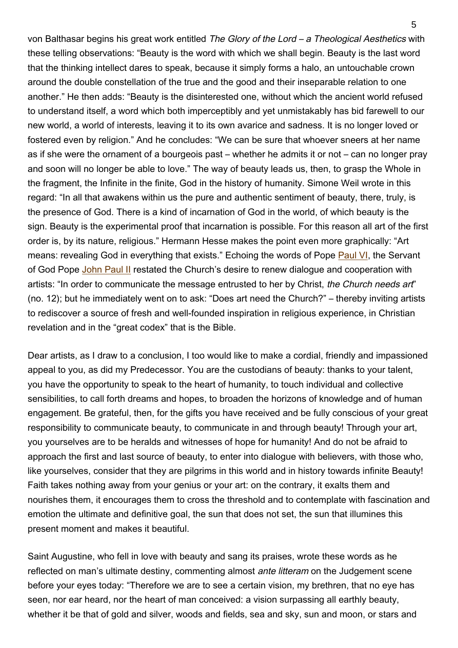von Balthasar begins his great work entitled The Glory of the Lord – a Theological Aesthetics with these telling observations: "Beauty is the word with which we shall begin. Beauty is the last word that the thinking intellect dares to speak, because it simply forms a halo, an untouchable crown around the double constellation of the true and the good and their inseparable relation to one another." He then adds: "Beauty is the disinterested one, without which the ancient world refused to understand itself, a word which both imperceptibly and yet unmistakably has bid farewell to our new world, a world of interests, leaving it to its own avarice and sadness. It is no longer loved or fostered even by religion." And he concludes: "We can be sure that whoever sneers at her name as if she were the ornament of a bourgeois past – whether he admits it or not – can no longer pray and soon will no longer be able to love." The way of beauty leads us, then, to grasp the Whole in the fragment, the Infinite in the finite, God in the history of humanity. Simone Weil wrote in this regard: "In all that awakens within us the pure and authentic sentiment of beauty, there, truly, is the presence of God. There is a kind of incarnation of God in the world, of which beauty is the sign. Beauty is the experimental proof that incarnation is possible. For this reason all art of the first order is, by its nature, religious." Hermann Hesse makes the point even more graphically: "Art means: revealing God in everything that exists." Echoing the words of Pope [Paul VI,](http://www.vatican.va/holy_father/paul_vi/index.htm) the Servant of God Pope [John Paul II](http://www.vatican.va/holy_father/john_paul_ii/index.htm) restated the Church's desire to renew dialogue and cooperation with artists: "In order to communicate the message entrusted to her by Christ, the Church needs art" (no. 12); but he immediately went on to ask: "Does art need the Church?" – thereby inviting artists to rediscover a source of fresh and well-founded inspiration in religious experience, in Christian revelation and in the "great codex" that is the Bible.

Dear artists, as I draw to a conclusion, I too would like to make a cordial, friendly and impassioned appeal to you, as did my Predecessor. You are the custodians of beauty: thanks to your talent, you have the opportunity to speak to the heart of humanity, to touch individual and collective sensibilities, to call forth dreams and hopes, to broaden the horizons of knowledge and of human engagement. Be grateful, then, for the gifts you have received and be fully conscious of your great responsibility to communicate beauty, to communicate in and through beauty! Through your art, you yourselves are to be heralds and witnesses of hope for humanity! And do not be afraid to approach the first and last source of beauty, to enter into dialogue with believers, with those who, like yourselves, consider that they are pilgrims in this world and in history towards infinite Beauty! Faith takes nothing away from your genius or your art: on the contrary, it exalts them and nourishes them, it encourages them to cross the threshold and to contemplate with fascination and emotion the ultimate and definitive goal, the sun that does not set, the sun that illumines this present moment and makes it beautiful.

Saint Augustine, who fell in love with beauty and sang its praises, wrote these words as he reflected on man's ultimate destiny, commenting almost ante litteram on the Judgement scene before your eyes today: "Therefore we are to see a certain vision, my brethren, that no eye has seen, nor ear heard, nor the heart of man conceived: a vision surpassing all earthly beauty, whether it be that of gold and silver, woods and fields, sea and sky, sun and moon, or stars and